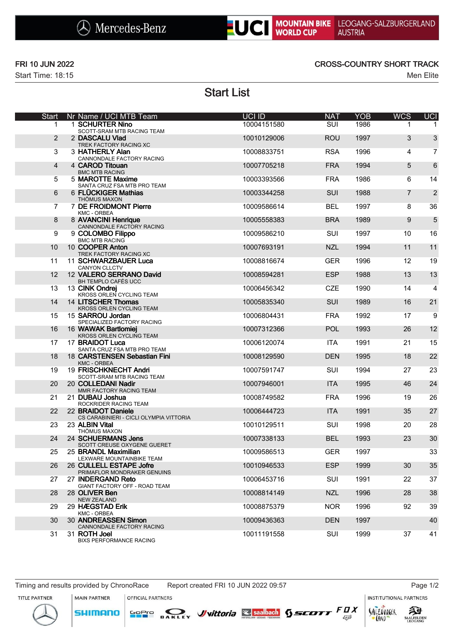



Start Time: 18:15 Men Elite

### FRI 10 JUN 2022 CROSS-COUNTRY SHORT TRACK

# Start List

| <b>Start</b> | Nr Name / UCI MTB Team                                        | UCI ID      | <b>NAT</b> | <b>YOB</b> | <b>WCS</b>     | <b>UCI</b>     |
|--------------|---------------------------------------------------------------|-------------|------------|------------|----------------|----------------|
| 1.           | 1 SCHURTER Nino<br>SCOTT-SRAM MTB RACING TEAM                 | 10004151580 | <b>SUI</b> | 1986       | 1              |                |
| 2            | 2 DASCALU Vlad<br>TREK FACTORY RACING XC                      | 10010129006 | <b>ROU</b> | 1997       | 3              | 3              |
| 3            | 3 HATHERLY Alan<br>CANNONDALE FACTORY RACING                  | 10008833751 | <b>RSA</b> | 1996       | 4              | 7              |
| 4            | 4 CAROD Titouan<br><b>BMC MTB RACING</b>                      | 10007705218 | <b>FRA</b> | 1994       | 5              | 6              |
| 5            | 5 MAROTTE Maxime<br>SANTA CRUZ FSA MTB PRO TEAM               | 10003393566 | <b>FRA</b> | 1986       | 6              | 14             |
| 6            | 6 FLÜCKIGER Mathias<br><b>THÖMUS MAXON</b>                    | 10003344258 | SUI        | 1988       | $\overline{7}$ | $\overline{2}$ |
| 7            | 7 DE FROIDMONT Pierre<br>KMC - ORBEA                          | 10009586614 | <b>BEL</b> | 1997       | 8              | 36             |
| 8            | 8 AVANCINI Henrique<br>CANNONDALE FACTORY RACING              | 10005558383 | <b>BRA</b> | 1989       | 9              | 5              |
| 9            | 9 COLOMBO Filippo<br><b>BMC MTB RACING</b>                    | 10009586210 | SUI        | 1997       | 10             | 16             |
| 10           | 10 COOPER Anton<br>TREK FACTORY RACING XC                     | 10007693191 | <b>NZL</b> | 1994       | 11             | 11             |
| 11           | 11 SCHWARZBAUER Luca<br>CANYON CLLCTV                         | 10008816674 | <b>GER</b> | 1996       | 12             | 19             |
| 12           | 12 VALERO SERRANO David<br>BH TEMPLO CAFÉS UCC                | 10008594281 | <b>ESP</b> | 1988       | 13             | 13             |
| 13           | 13 CINK Ondrej<br>KROSS ORLEN CYCLING TEAM                    | 10006456342 | <b>CZE</b> | 1990       | 14             | $\overline{4}$ |
| 14           | 14 LITSCHER Thomas<br><b>KROSS ORLEN CYCLING TEAM</b>         | 10005835340 | <b>SUI</b> | 1989       | 16             | 21             |
| 15           | 15 SARROU Jordan<br>SPECIALIZED FACTORY RACING                | 10006804431 | <b>FRA</b> | 1992       | 17             | 9              |
| 16           | 16 WAWAK Bartlomiej<br>KROSS ORLEN CYCLING TEAM               | 10007312366 | POL        | 1993       | 26             | 12             |
| 17           | 17 BRAIDOT Luca<br>SANTA CRUZ FSA MTB PRO TEAM                | 10006120074 | <b>ITA</b> | 1991       | 21             | 15             |
| 18           | 18 CARSTENSEN Sebastian Fini<br>KMC - ORBEA                   | 10008129590 | <b>DEN</b> | 1995       | 18             | 22             |
| 19           | 19 FRISCHKNECHT Andri<br>SCOTT-SRAM MTB RACING TEAM           | 10007591747 | SUI        | 1994       | 27             | 23             |
| 20           | 20 COLLEDANI Nadir<br>MMR FACTORY RACING TEAM                 | 10007946001 | <b>ITA</b> | 1995       | 46             | 24             |
| 21           | 21 DUBAU Joshua<br>ROCKRIDER RACING TEAM                      | 10008749582 | <b>FRA</b> | 1996       | 19             | 26             |
| 22           | 22 BRAIDOT Daniele<br>CS CARABINIERI - CICLI OLYMPIA VITTORIA | 10006444723 | <b>ITA</b> | 1991       | 35             | 27             |
| 23           | 23 ALBIN Vital<br>THÖMUS MAXON                                | 10010129511 | SUI        | 1998       | 20             | 28             |
| 24           | 24 SCHUERMANS Jens<br>SCOTT CREUSE OXYGENE GUERET             | 10007338133 | <b>BEL</b> | 1993       | 23             | 30             |
| 25           | 25 BRANDL Maximilian<br>LEXWARE MOUNTAINBIKE TEAM             | 10009586513 | <b>GER</b> | 1997       |                | 33             |
| 26           | 26 CULLELL ESTAPE Jofre<br>PRIMAFLOR MONDRAKER GENUINS        | 10010946533 | <b>ESP</b> | 1999       | 30             | 35             |
| 27           | 27 INDERGAND Reto<br>GIANT FACTORY OFF - ROAD TEAM            | 10006453716 | SUI        | 1991       | 22             | 37             |
| 28           | 28 OLIVER Ben<br><b>NEW ZEALAND</b>                           | 10008814149 | <b>NZL</b> | 1996       | 28             | 38             |
| 29           | 29 HÆGSTAD Erik<br>KMC - ORBEA                                | 10008875379 | <b>NOR</b> | 1996       | 92             | 39             |
| 30           | 30 ANDREASSEN Simon<br>CANNONDALE FACTORY RACING              | 10009436363 | <b>DEN</b> | 1997       |                | 40             |
| 31           | 31 ROTH Joel<br>BIXS PERFORMANCE RACING                       | 10011191558 | SUI        | 1999       | 37             | 41             |

MAIN PARTNER

**SHIMANO** 

OFFICIAL PARTNERS

SOPIO DAKLEY Vittoria & saabach SSCOTT FUX

**INSTITUTIONAL PARTNERS** 

LAND

 $53$ 





AALFELDEN